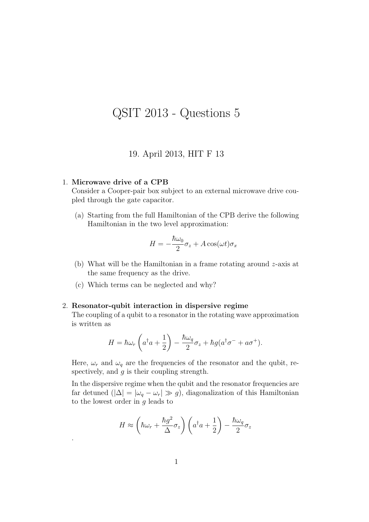## QSIT 2013 - Questions 5

## 19. April 2013, HIT F 13

## 1. Microwave drive of a CPB

.

Consider a Cooper-pair box subject to an external microwave drive coupled through the gate capacitor.

(a) Starting from the full Hamiltonian of the CPB derive the following Hamiltonian in the two level approximation:

$$
H = -\frac{\hbar\omega_0}{2}\sigma_z + A\cos(\omega t)\sigma_x
$$

- (b) What will be the Hamiltonian in a frame rotating around z-axis at the same frequency as the drive.
- (c) Which terms can be neglected and why?

## 2. Resonator-qubit interaction in dispersive regime

The coupling of a qubit to a resonator in the rotating wave approximation is written as

$$
H = \hbar \omega_r \left( a^\dagger a + \frac{1}{2} \right) - \frac{\hbar \omega_q}{2} \sigma_z + \hbar g (a^\dagger \sigma^- + a \sigma^+).
$$

Here,  $\omega_r$  and  $\omega_q$  are the frequencies of the resonator and the qubit, respectively, and  $q$  is their coupling strength.

In the dispersive regime when the qubit and the resonator frequencies are far detuned  $(|\Delta| = |\omega_q - \omega_r| \gg g)$ , diagonalization of this Hamiltonian to the lowest order in  $g$  leads to

$$
H \approx \left(\hbar\omega_r + \frac{\hbar g^2}{\Delta}\sigma_z\right)\left(a^\dagger a + \frac{1}{2}\right) - \frac{\hbar\omega_q}{2}\sigma_z
$$